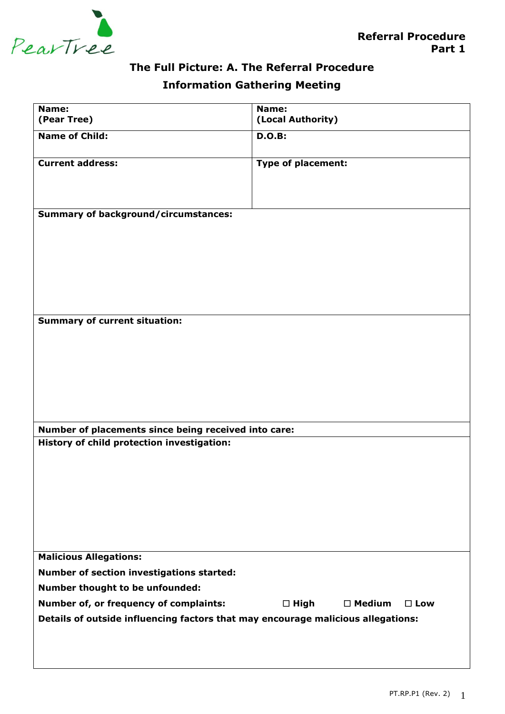

# **The Full Picture: A. The Referral Procedure**

## **Information Gathering Meeting**

| Name:                                                                                              | Name:                             |  |  |
|----------------------------------------------------------------------------------------------------|-----------------------------------|--|--|
| (Pear Tree)                                                                                        | (Local Authority)                 |  |  |
| <b>Name of Child:</b>                                                                              | <b>D.O.B:</b>                     |  |  |
| <b>Current address:</b>                                                                            | <b>Type of placement:</b>         |  |  |
|                                                                                                    |                                   |  |  |
| <b>Summary of background/circumstances:</b>                                                        |                                   |  |  |
|                                                                                                    |                                   |  |  |
|                                                                                                    |                                   |  |  |
|                                                                                                    |                                   |  |  |
|                                                                                                    |                                   |  |  |
| <b>Summary of current situation:</b>                                                               |                                   |  |  |
|                                                                                                    |                                   |  |  |
|                                                                                                    |                                   |  |  |
|                                                                                                    |                                   |  |  |
|                                                                                                    |                                   |  |  |
| Number of placements since being received into care:<br>History of child protection investigation: |                                   |  |  |
|                                                                                                    |                                   |  |  |
|                                                                                                    |                                   |  |  |
|                                                                                                    |                                   |  |  |
|                                                                                                    |                                   |  |  |
| <b>Malicious Allegations:</b>                                                                      |                                   |  |  |
| <b>Number of section investigations started:</b>                                                   |                                   |  |  |
| Number thought to be unfounded:                                                                    |                                   |  |  |
|                                                                                                    | $\square$ Medium<br>$\square$ Low |  |  |
| Number of, or frequency of complaints:                                                             | $\square$ High                    |  |  |
| Details of outside influencing factors that may encourage malicious allegations:                   |                                   |  |  |
|                                                                                                    |                                   |  |  |
|                                                                                                    |                                   |  |  |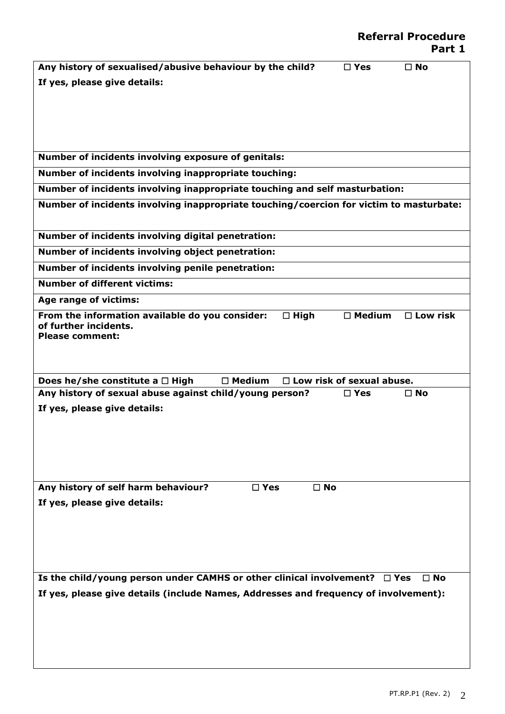| Any history of sexualised/abusive behaviour by the child?                               | $\square$ Yes                    | $\Box$ No          |
|-----------------------------------------------------------------------------------------|----------------------------------|--------------------|
| If yes, please give details:                                                            |                                  |                    |
|                                                                                         |                                  |                    |
|                                                                                         |                                  |                    |
|                                                                                         |                                  |                    |
|                                                                                         |                                  |                    |
| Number of incidents involving exposure of genitals:                                     |                                  |                    |
| Number of incidents involving inappropriate touching:                                   |                                  |                    |
| Number of incidents involving inappropriate touching and self masturbation:             |                                  |                    |
| Number of incidents involving inappropriate touching/coercion for victim to masturbate: |                                  |                    |
|                                                                                         |                                  |                    |
| Number of incidents involving digital penetration:                                      |                                  |                    |
| Number of incidents involving object penetration:                                       |                                  |                    |
| Number of incidents involving penile penetration:                                       |                                  |                    |
| <b>Number of different victims:</b>                                                     |                                  |                    |
| Age range of victims:                                                                   |                                  |                    |
| From the information available do you consider:<br>$\Box$ High                          | $\square$ Medium                 | $\square$ Low risk |
| of further incidents.                                                                   |                                  |                    |
| <b>Please comment:</b>                                                                  |                                  |                    |
|                                                                                         |                                  |                    |
| Does he/she constitute a $\Box$ High<br>$\Box$ Medium                                   | $\Box$ Low risk of sexual abuse. |                    |
| Any history of sexual abuse against child/young person?                                 | $\square$ Yes                    | $\Box$ No          |
| If yes, please give details:                                                            |                                  |                    |
|                                                                                         |                                  |                    |
|                                                                                         |                                  |                    |
|                                                                                         |                                  |                    |
|                                                                                         |                                  |                    |
| Any history of self harm behaviour?<br>$\square$ Yes<br>$\square$ No                    |                                  |                    |
| If yes, please give details:                                                            |                                  |                    |
|                                                                                         |                                  |                    |
|                                                                                         |                                  |                    |
|                                                                                         |                                  |                    |
|                                                                                         |                                  |                    |
| Is the child/young person under CAMHS or other clinical involvement?                    | $\Box$ Yes                       | $\Box$ No          |
| If yes, please give details (include Names, Addresses and frequency of involvement):    |                                  |                    |
|                                                                                         |                                  |                    |
|                                                                                         |                                  |                    |
|                                                                                         |                                  |                    |
|                                                                                         |                                  |                    |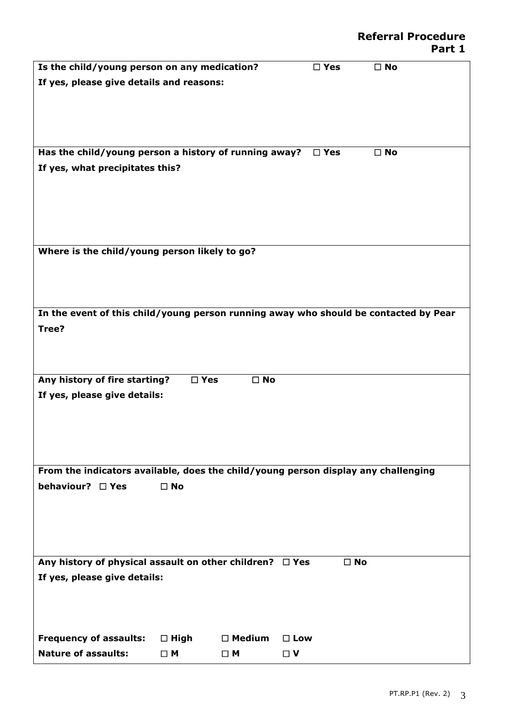| Is the child/young person on any medication?                                         |               |                  | $\square$ Yes | $\square$ No |
|--------------------------------------------------------------------------------------|---------------|------------------|---------------|--------------|
| If yes, please give details and reasons:                                             |               |                  |               |              |
|                                                                                      |               |                  |               |              |
|                                                                                      |               |                  |               |              |
|                                                                                      |               |                  |               |              |
|                                                                                      |               |                  |               |              |
| Has the child/young person a history of running away?                                |               |                  | $\square$ Yes | $\square$ No |
| If yes, what precipitates this?                                                      |               |                  |               |              |
|                                                                                      |               |                  |               |              |
|                                                                                      |               |                  |               |              |
|                                                                                      |               |                  |               |              |
|                                                                                      |               |                  |               |              |
|                                                                                      |               |                  |               |              |
| Where is the child/young person likely to go?                                        |               |                  |               |              |
|                                                                                      |               |                  |               |              |
|                                                                                      |               |                  |               |              |
|                                                                                      |               |                  |               |              |
| In the event of this child/young person running away who should be contacted by Pear |               |                  |               |              |
| Tree?                                                                                |               |                  |               |              |
|                                                                                      |               |                  |               |              |
|                                                                                      |               |                  |               |              |
|                                                                                      |               |                  |               |              |
| Any history of fire starting?                                                        | $\square$ Yes | $\square$ No     |               |              |
| If yes, please give details:                                                         |               |                  |               |              |
|                                                                                      |               |                  |               |              |
|                                                                                      |               |                  |               |              |
|                                                                                      |               |                  |               |              |
|                                                                                      |               |                  |               |              |
|                                                                                      |               |                  |               |              |
| From the indicators available, does the child/young person display any challenging   |               |                  |               |              |
| behaviour? □ Yes                                                                     | $\square$ No  |                  |               |              |
|                                                                                      |               |                  |               |              |
|                                                                                      |               |                  |               |              |
|                                                                                      |               |                  |               |              |
|                                                                                      |               |                  |               |              |
| Any history of physical assault on other children? $\Box$ Yes                        |               |                  | $\square$ No  |              |
| If yes, please give details:                                                         |               |                  |               |              |
|                                                                                      |               |                  |               |              |
|                                                                                      |               |                  |               |              |
|                                                                                      |               |                  |               |              |
| <b>Frequency of assaults:</b>                                                        |               | $\square$ Medium | $\square$ Low |              |
|                                                                                      | $\Box$ High   |                  |               |              |
| <b>Nature of assaults:</b>                                                           | $\Box$ M      | $\square$ M      | $\Box$ V      |              |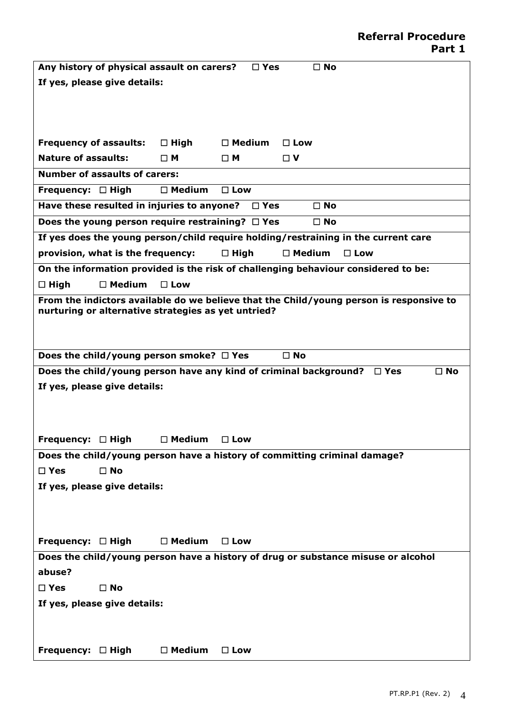| Any history of physical assault on carers?<br>$\square$ No<br>$\square$ Yes                        |  |  |  |
|----------------------------------------------------------------------------------------------------|--|--|--|
| If yes, please give details:                                                                       |  |  |  |
|                                                                                                    |  |  |  |
|                                                                                                    |  |  |  |
|                                                                                                    |  |  |  |
| <b>Frequency of assaults:</b><br>$\square$ Medium<br>$\Box$ High<br>$\square$ Low                  |  |  |  |
| <b>Nature of assaults:</b><br>$\sqcap$ M<br>$\Box$ V<br>□ Μ                                        |  |  |  |
| <b>Number of assaults of carers:</b>                                                               |  |  |  |
| Frequency: $\Box$ High<br>$\square$ Medium<br>$\square$ Low                                        |  |  |  |
| Have these resulted in injuries to anyone? $\Box$ Yes<br>$\square$ No                              |  |  |  |
| Does the young person require restraining? $\Box$ Yes<br>$\square$ No                              |  |  |  |
| If yes does the young person/child require holding/restraining in the current care                 |  |  |  |
| $\square$ Medium<br>provision, what is the frequency:<br>$\Box$ High<br>$\square$ Low              |  |  |  |
| On the information provided is the risk of challenging behaviour considered to be:                 |  |  |  |
| $\Box$ High<br>$\square$ Medium<br>$\Box$ Low                                                      |  |  |  |
| From the indictors available do we believe that the Child/young person is responsive to            |  |  |  |
| nurturing or alternative strategies as yet untried?                                                |  |  |  |
|                                                                                                    |  |  |  |
|                                                                                                    |  |  |  |
| Does the child/young person smoke? $\Box$ Yes<br>$\square$ No                                      |  |  |  |
| Does the child/young person have any kind of criminal background?<br>$\square$ No<br>$\square$ Yes |  |  |  |
| If yes, please give details:                                                                       |  |  |  |
|                                                                                                    |  |  |  |
|                                                                                                    |  |  |  |
| Frequency: $\Box$ High<br>$\square$ Medium<br>$\square$ Low                                        |  |  |  |
| Does the child/young person have a history of committing criminal damage?                          |  |  |  |
| $\square$ No<br>$\square$ Yes                                                                      |  |  |  |
| If yes, please give details:                                                                       |  |  |  |
|                                                                                                    |  |  |  |
|                                                                                                    |  |  |  |
|                                                                                                    |  |  |  |
| $\Box$ Medium<br>Frequency: $\Box$ High<br>$\square$ Low                                           |  |  |  |
| Does the child/young person have a history of drug or substance misuse or alcohol                  |  |  |  |
| abuse?                                                                                             |  |  |  |
| $\square$ Yes<br>$\square$ No                                                                      |  |  |  |
| If yes, please give details:                                                                       |  |  |  |
|                                                                                                    |  |  |  |
|                                                                                                    |  |  |  |
| Frequency: $\Box$ High<br>$\square$ Medium<br>$\square$ Low                                        |  |  |  |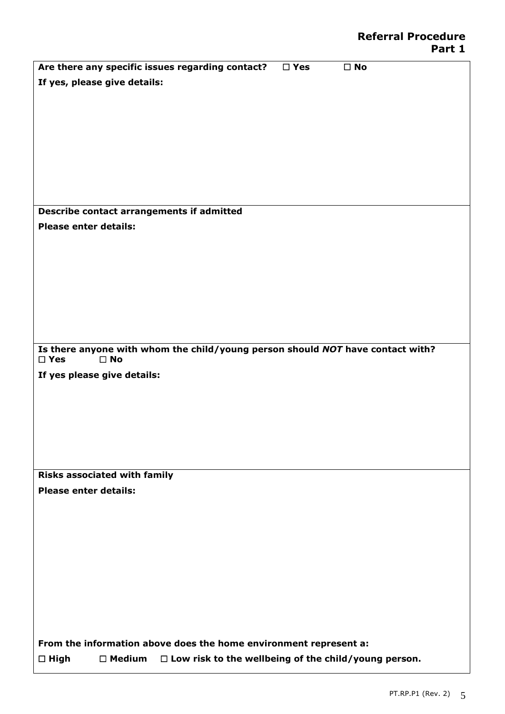|                              |                                     | Are there any specific issues regarding contact?                               | $\square$ Yes | $\square$ No |
|------------------------------|-------------------------------------|--------------------------------------------------------------------------------|---------------|--------------|
|                              | If yes, please give details:        |                                                                                |               |              |
|                              |                                     |                                                                                |               |              |
|                              |                                     |                                                                                |               |              |
|                              |                                     |                                                                                |               |              |
|                              |                                     |                                                                                |               |              |
|                              |                                     |                                                                                |               |              |
|                              |                                     |                                                                                |               |              |
|                              |                                     |                                                                                |               |              |
|                              |                                     |                                                                                |               |              |
|                              |                                     |                                                                                |               |              |
|                              |                                     | Describe contact arrangements if admitted                                      |               |              |
| <b>Please enter details:</b> |                                     |                                                                                |               |              |
|                              |                                     |                                                                                |               |              |
|                              |                                     |                                                                                |               |              |
|                              |                                     |                                                                                |               |              |
|                              |                                     |                                                                                |               |              |
|                              |                                     |                                                                                |               |              |
|                              |                                     |                                                                                |               |              |
|                              |                                     |                                                                                |               |              |
|                              |                                     |                                                                                |               |              |
| $\square$ Yes                | $\square$ No                        | Is there anyone with whom the child/young person should NOT have contact with? |               |              |
|                              | If yes please give details:         |                                                                                |               |              |
|                              |                                     |                                                                                |               |              |
|                              |                                     |                                                                                |               |              |
|                              |                                     |                                                                                |               |              |
|                              |                                     |                                                                                |               |              |
|                              |                                     |                                                                                |               |              |
|                              |                                     |                                                                                |               |              |
|                              |                                     |                                                                                |               |              |
|                              | <b>Risks associated with family</b> |                                                                                |               |              |
| <b>Please enter details:</b> |                                     |                                                                                |               |              |
|                              |                                     |                                                                                |               |              |
|                              |                                     |                                                                                |               |              |
|                              |                                     |                                                                                |               |              |
|                              |                                     |                                                                                |               |              |
|                              |                                     |                                                                                |               |              |
|                              |                                     |                                                                                |               |              |
|                              |                                     |                                                                                |               |              |
|                              |                                     |                                                                                |               |              |
|                              |                                     |                                                                                |               |              |
|                              |                                     |                                                                                |               |              |
|                              |                                     | From the information above does the home environment represent a:              |               |              |
| $\square$ High               | $\square$ Medium                    | $\Box$ Low risk to the wellbeing of the child/young person.                    |               |              |
|                              |                                     |                                                                                |               |              |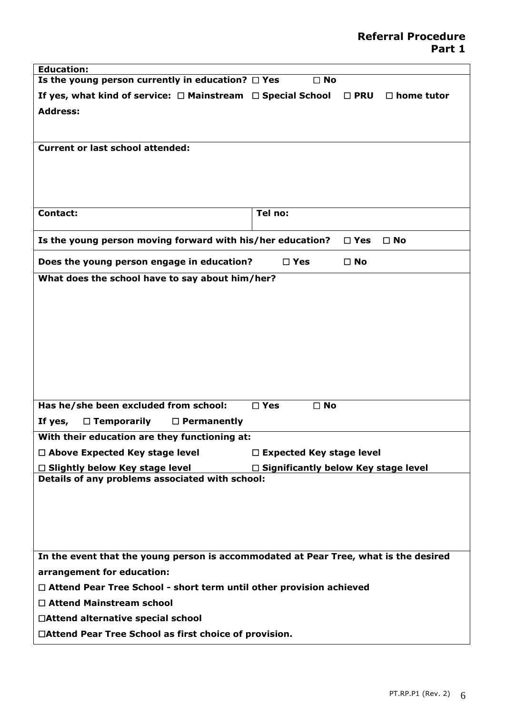| <b>Education:</b>                                                                                                                      |                               |                                    |  |  |
|----------------------------------------------------------------------------------------------------------------------------------------|-------------------------------|------------------------------------|--|--|
| Is the young person currently in education? $\Box$ Yes                                                                                 | $\Box$ No                     |                                    |  |  |
| If yes, what kind of service: $\Box$ Mainstream $\Box$ Special School                                                                  |                               | $\square$ PRU<br>$\Box$ home tutor |  |  |
| <b>Address:</b>                                                                                                                        |                               |                                    |  |  |
|                                                                                                                                        |                               |                                    |  |  |
| <b>Current or last school attended:</b>                                                                                                |                               |                                    |  |  |
|                                                                                                                                        |                               |                                    |  |  |
|                                                                                                                                        |                               |                                    |  |  |
|                                                                                                                                        |                               |                                    |  |  |
|                                                                                                                                        |                               |                                    |  |  |
| Contact:                                                                                                                               | Tel no:                       |                                    |  |  |
| Is the young person moving forward with his/her education?                                                                             |                               | $\square$ Yes<br>$\square$ No      |  |  |
|                                                                                                                                        |                               |                                    |  |  |
| Does the young person engage in education?                                                                                             | $\square$ Yes                 | $\square$ No                       |  |  |
| What does the school have to say about him/her?                                                                                        |                               |                                    |  |  |
|                                                                                                                                        |                               |                                    |  |  |
|                                                                                                                                        |                               |                                    |  |  |
|                                                                                                                                        |                               |                                    |  |  |
|                                                                                                                                        |                               |                                    |  |  |
|                                                                                                                                        |                               |                                    |  |  |
|                                                                                                                                        |                               |                                    |  |  |
|                                                                                                                                        |                               |                                    |  |  |
| Has he/she been excluded from school:                                                                                                  | $\square$ Yes<br>$\square$ No |                                    |  |  |
| $\Box$ Temporarily<br>$\Box$ Permanently<br>If yes,                                                                                    |                               |                                    |  |  |
| With their education are they functioning at:                                                                                          |                               |                                    |  |  |
| $\Box$ Above Expected Key stage level                                                                                                  |                               |                                    |  |  |
| $\Box$ Expected Key stage level                                                                                                        |                               |                                    |  |  |
| $\Box$ Significantly below Key stage level<br>$\Box$ Slightly below Key stage level<br>Details of any problems associated with school: |                               |                                    |  |  |
|                                                                                                                                        |                               |                                    |  |  |
|                                                                                                                                        |                               |                                    |  |  |
|                                                                                                                                        |                               |                                    |  |  |
|                                                                                                                                        |                               |                                    |  |  |
| In the event that the young person is accommodated at Pear Tree, what is the desired                                                   |                               |                                    |  |  |
| arrangement for education:                                                                                                             |                               |                                    |  |  |
| $\Box$ Attend Pear Tree School - short term until other provision achieved                                                             |                               |                                    |  |  |
| $\Box$ Attend Mainstream school                                                                                                        |                               |                                    |  |  |
| □Attend alternative special school                                                                                                     |                               |                                    |  |  |
|                                                                                                                                        |                               |                                    |  |  |
| □Attend Pear Tree School as first choice of provision.                                                                                 |                               |                                    |  |  |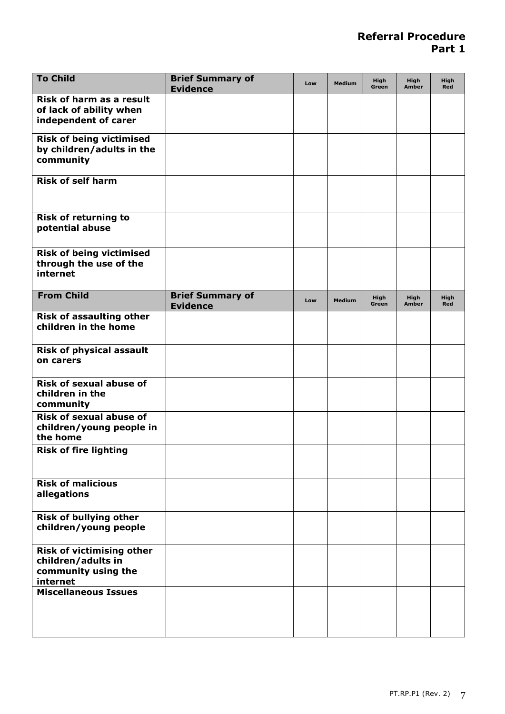| <b>To Child</b>                                                                           | <b>Brief Summary of</b><br><b>Evidence</b> | Low | <b>Medium</b> | <b>High</b><br>Green | <b>High</b><br>Amber | <b>High</b><br>Red |
|-------------------------------------------------------------------------------------------|--------------------------------------------|-----|---------------|----------------------|----------------------|--------------------|
| Risk of harm as a result<br>of lack of ability when<br>independent of carer               |                                            |     |               |                      |                      |                    |
| <b>Risk of being victimised</b><br>by children/adults in the<br>community                 |                                            |     |               |                      |                      |                    |
| <b>Risk of self harm</b>                                                                  |                                            |     |               |                      |                      |                    |
| <b>Risk of returning to</b><br>potential abuse                                            |                                            |     |               |                      |                      |                    |
| <b>Risk of being victimised</b><br>through the use of the<br>internet                     |                                            |     |               |                      |                      |                    |
| <b>From Child</b>                                                                         | <b>Brief Summary of</b><br><b>Evidence</b> | Low | <b>Medium</b> | High<br>Green        | <b>High</b><br>Amber | High<br>Red        |
| <b>Risk of assaulting other</b><br>children in the home                                   |                                            |     |               |                      |                      |                    |
| <b>Risk of physical assault</b><br>on carers                                              |                                            |     |               |                      |                      |                    |
| <b>Risk of sexual abuse of</b><br>children in the<br>community                            |                                            |     |               |                      |                      |                    |
| <b>Risk of sexual abuse of</b><br>children/young people in<br>the home                    |                                            |     |               |                      |                      |                    |
| <b>Risk of fire lighting</b>                                                              |                                            |     |               |                      |                      |                    |
| <b>Risk of malicious</b><br>allegations                                                   |                                            |     |               |                      |                      |                    |
| <b>Risk of bullying other</b><br>children/young people                                    |                                            |     |               |                      |                      |                    |
| <b>Risk of victimising other</b><br>children/adults in<br>community using the<br>internet |                                            |     |               |                      |                      |                    |
| <b>Miscellaneous Issues</b>                                                               |                                            |     |               |                      |                      |                    |